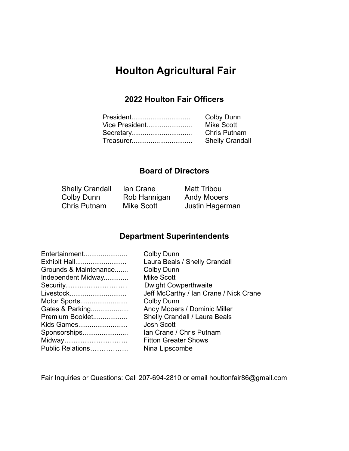# **Houlton Agricultural Fair**

# **2022 Houlton Fair Officers**

| <b>Colby Dunn</b>      |
|------------------------|
| <b>Mike Scott</b>      |
| <b>Chris Putnam</b>    |
| <b>Shelly Crandall</b> |
|                        |

# **Board of Directors**

| <b>Shelly Crandall</b> | lan Crane    | <b>Matt Tribou</b> |
|------------------------|--------------|--------------------|
| Colby Dunn             | Rob Hannigan | <b>Andy Mooers</b> |
| Chris Putnam           | Mike Scott   | Justin Hagerman    |

# **Department Superintendents**

| <b>Colby Dunn</b>                      |
|----------------------------------------|
| Laura Beals / Shelly Crandall          |
| <b>Colby Dunn</b>                      |
| <b>Mike Scott</b>                      |
| <b>Dwight Cowperthwaite</b>            |
| Jeff McCarthy / Ian Crane / Nick Crane |
| <b>Colby Dunn</b>                      |
| Andy Mooers / Dominic Miller           |
| Shelly Crandall / Laura Beals          |
| <b>Josh Scott</b>                      |
| Ian Crane / Chris Putnam               |
| <b>Fitton Greater Shows</b>            |
| Nina Lipscombe                         |
|                                        |

Fair Inquiries or Questions: Call 207-694-2810 or email houltonfair86@gmail.com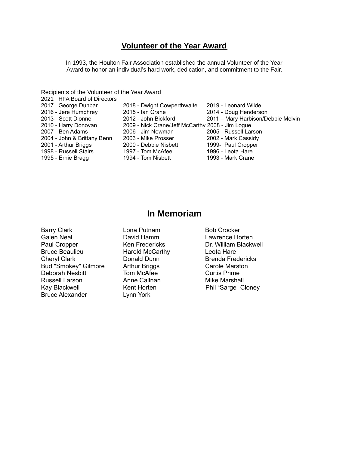# **Volunteer of the Year Award**

In 1993, the Houlton Fair Association established the annual Volunteer of the Year Award to honor an individual's hard work, dedication, and commitment to the Fair.

Recipients of the Volunteer of the Year Award

| 2021 HFA Board of Directors |                                                  |                                    |
|-----------------------------|--------------------------------------------------|------------------------------------|
| 2017 George Dunbar          | 2018 - Dwight Cowperthwaite                      | 2019 - Leonard Wilde               |
| 2016 - Jere Humphrey        | 2015 - Ian Crane                                 | 2014 - Doug Henderson              |
| 2013- Scott Dionne          | 2012 - John Bickford                             | 2011 - Mary Harbison/Debbie Melvin |
| 2010 - Harry Donovan        | 2009 - Nick Crane/Jeff McCarthy 2008 - Jim Logue |                                    |
| 2007 - Ben Adams            | 2006 - Jim Newman                                | 2005 - Russell Larson              |
| 2004 - John & Brittany Benn | 2003 - Mike Prosser                              | 2002 - Mark Cassidy                |
| 2001 - Arthur Briggs        | 2000 - Debbie Nisbett                            | 1999- Paul Cropper                 |
| 1998 - Russell Stairs       | 1997 - Tom McAfee                                | 1996 - Leota Hare                  |
| 1995 - Ernie Bragg          | 1994 - Tom Nisbett                               | 1993 - Mark Crane                  |

# **In Memoriam**

Barry Clark **Carry Clark** Lona Putnam Bob Crocker Galen Neal **David Hamm** Lawrence Horten<br>
Paul Cropper **Communist Critic Communist Critic Critic Critic Critic Critic Critic Critic Critic Critic Criti** Paul Cropper **Ken Fredericks** Dr. William Blackwell<br>Bruce Beaulieu Harold McCarthy Leota Hare Bruce Beaulieu Harold McCarthy Leota Hare<br>
Cheryl Clark Donald Dunn Brenda Freq Bud "Smokey" Gilmore Arthur Briggs Carole Marston<br>
Deborah Nesbitt Tom McAfee Curtis Prime Deborah Nesbitt Tom McAfee **The Curtis Prime** Russell Larson **Anne Callnan** Mike Marshall Kay Blackwell **Kent Horten** Phil "Sarge" Cloney Bruce Alexander Lynn York

Donald Dunn Brenda Fredericks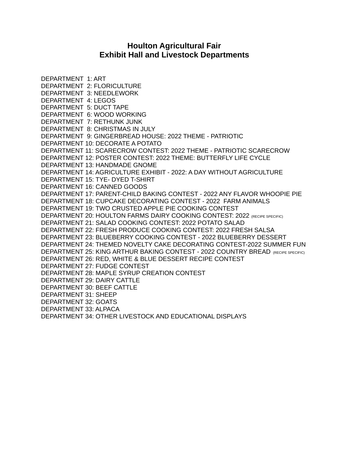# **Houlton Agricultural Fair Exhibit Hall and Livestock Departments**

DEPARTMENT 1: ART DEPARTMENT 2: FLORICULTURE DEPARTMENT 3: NEEDLEWORK DEPARTMENT 4: LEGOS DEPARTMENT 5: DUCT TAPE DEPARTMENT 6: WOOD WORKING DEPARTMENT 7: RETHUNK JUNK DEPARTMENT 8: CHRISTMAS IN JULY DEPARTMENT 9: GINGERBREAD HOUSE: 2022 THEME - PATRIOTIC DEPARTMENT 10: DECORATE A POTATO DEPARTMENT 11: SCARECROW CONTEST: 2022 THEME - PATRIOTIC SCARECROW DEPARTMENT 12: POSTER CONTEST: 2022 THEME: BUTTERFLY LIFE CYCLE DEPARTMENT 13: HANDMADE GNOME DEPARTMENT 14: AGRICULTURE EXHIBIT - 2022: A DAY WITHOUT AGRICULTURE DEPARTMENT 15: TYE- DYED T-SHIRT DEPARTMENT 16: CANNED GOODS DEPARTMENT 17: PARENT-CHILD BAKING CONTEST - 2022 ANY FLAVOR WHOOPIE PIE DEPARTMENT 18: CUPCAKE DECORATING CONTEST - 2022 FARM ANIMALS DEPARTMENT 19: TWO CRUSTED APPLE PIE COOKING CONTEST DEPARTMENT 20: HOULTON FARMS DAIRY COOKING CONTEST: 2022 (RECIPE SPECIFIC) DEPARTMENT 21: SALAD COOKING CONTEST: 2022 POTATO SALAD DEPARTMENT 22: FRESH PRODUCE COOKING CONTEST: 2022 FRESH SALSA DEPARTMENT 23: BLUEBERRY COOKING CONTEST - 2022 BLUEBERRY DESSERT DEPARTMENT 24: THEMED NOVELTY CAKE DECORATING CONTEST-2022 SUMMER FUN DEPARTMENT 25: KING ARTHUR BAKING CONTEST - 2022 COUNTRY BREAD (RECIPE SPECIFIC) DEPARTMENT 26: RED, WHITE & BLUE DESSERT RECIPE CONTEST DEPARTMENT 27: FUDGE CONTEST DEPARTMENT 28: MAPLE SYRUP CREATION CONTEST DEPARTMENT 29: DAIRY CATTLE DEPARTMENT 30: BEEF CATTLE DEPARTMENT 31: SHEEP DEPARTMENT 32: GOATS DEPARTMENT 33: ALPACA DEPARTMENT 34: OTHER LIVESTOCK AND EDUCATIONAL DISPLAYS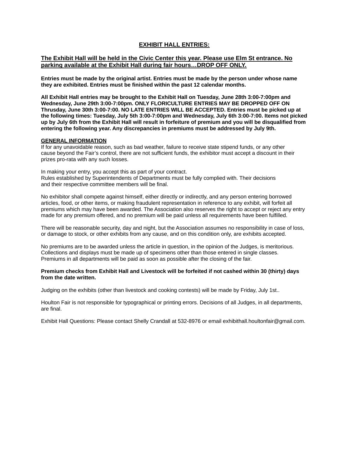#### **EXHIBIT HALL ENTRIES:**

#### **The Exhibit Hall will be held in the Civic Center this year. Please use Elm St entrance. No parking available at the Exhibit Hall during fair hours…DROP OFF ONLY.**

**Entries must be made by the original artist. Entries must be made by the person under whose name they are exhibited. Entries must be finished within the past 12 calendar months.**

**All Exhibit Hall entries may be brought to the Exhibit Hall on Tuesday, June 28th 3:00-7:00pm and Wednesday, June 29th 3:00-7:00pm. ONLY FLORICULTURE ENTRIES MAY BE DROPPED OFF ON Thrusday, June 30th 3:00-7:00. NO LATE ENTRIES WILL BE ACCEPTED. Entries must be picked up at the following times: Tuesday, July 5th 3:00-7:00pm and Wednesday, July 6th 3:00-7:00. Items not picked** up by July 6th from the Exhibit Hall will result in forfeiture of premium and you will be disqualified from **entering the following year. Any discrepancies in premiums must be addressed by July 9th.**

#### **GENERAL INFORMATION**

If for any unavoidable reason, such as bad weather, failure to receive state stipend funds, or any other cause beyond the Fair's control, there are not sufficient funds, the exhibitor must accept a discount in their prizes pro-rata with any such losses.

In making your entry, you accept this as part of your contract. Rules established by Superintendents of Departments must be fully complied with. Their decisions and their respective committee members will be final.

No exhibitor shall compete against himself, either directly or indirectly, and any person entering borrowed articles, food, or other items, or making fraudulent representation in reference to any exhibit, will forfeit all premiums which may have been awarded. The Association also reserves the right to accept or reject any entry made for any premium offered, and no premium will be paid unless all requirements have been fulfilled.

There will be reasonable security, day and night, but the Association assumes no responsibility in case of loss, or damage to stock, or other exhibits from any cause, and on this condition only, are exhibits accepted.

No premiums are to be awarded unless the article in question, in the opinion of the Judges, is meritorious. Collections and displays must be made up of specimens other than those entered in single classes. Premiums in all departments will be paid as soon as possible after the closing of the fair.

#### **Premium checks from Exhibit Hall and Livestock will be forfeited if not cashed within 30 (thirty) days from the date written.**

Judging on the exhibits (other than livestock and cooking contests) will be made by Friday, July 1st..

Houlton Fair is not responsible for typographical or printing errors. Decisions of all Judges, in all departments, are final.

Exhibit Hall Questions: Please contact Shelly Crandall at 532-8976 or email exhibithall.houltonfair@gmail.com.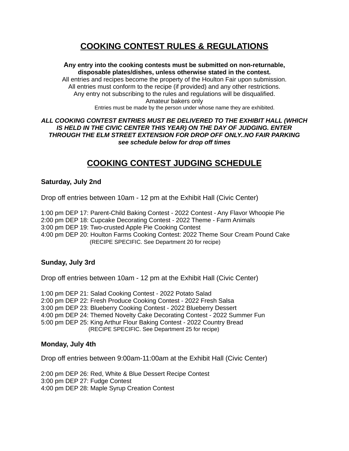# **COOKING CONTEST RULES & REGULATIONS**

**Any entry into the cooking contests must be submitted on non-returnable, disposable plates/dishes, unless otherwise stated in the contest.** All entries and recipes become the property of the Houlton Fair upon submission. All entries must conform to the recipe (if provided) and any other restrictions. Any entry not subscribing to the rules and regulations will be disqualified. Amateur bakers only Entries must be made by the person under whose name they are exhibited.

#### *ALL COOKING CONTEST ENTRIES MUST BE DELIVERED TO THE EXHIBIT HALL (WHICH IS HELD IN THE CIVIC CENTER THIS YEAR) ON THE DAY OF JUDGING. ENTER THROUGH THE ELM STREET EXTENSION FOR DROP OFF ONLY..NO FAIR PARKING see schedule below for drop off times*

# **COOKING CONTEST JUDGING SCHEDULE**

#### **Saturday, July 2nd**

Drop off entries between 10am - 12 pm at the Exhibit Hall (Civic Center)

1:00 pm DEP 17: Parent-Child Baking Contest - 2022 Contest - Any Flavor Whoopie Pie 2:00 pm DEP 18: Cupcake Decorating Contest - 2022 Theme - Farm Animals 3:00 pm DEP 19: Two-crusted Apple Pie Cooking Contest 4:00 pm DEP 20: Houlton Farms Cooking Contest: 2022 Theme Sour Cream Pound Cake (RECIPE SPECIFIC. See Department 20 for recipe)

#### **Sunday, July 3rd**

Drop off entries between 10am - 12 pm at the Exhibit Hall (Civic Center)

1:00 pm DEP 21: Salad Cooking Contest - 2022 Potato Salad 2:00 pm DEP 22: Fresh Produce Cooking Contest - 2022 Fresh Salsa 3:00 pm DEP 23: Blueberry Cooking Contest - 2022 Blueberry Dessert 4:00 pm DEP 24: Themed Novelty Cake Decorating Contest - 2022 Summer Fun 5:00 pm DEP 25: King Arthur Flour Baking Contest - 2022 Country Bread (RECIPE SPECIFIC. See Department 25 for recipe)

#### **Monday, July 4th**

Drop off entries between 9:00am-11:00am at the Exhibit Hall (Civic Center)

2:00 pm DEP 26: Red, White & Blue Dessert Recipe Contest 3:00 pm DEP 27: Fudge Contest 4:00 pm DEP 28: Maple Syrup Creation Contest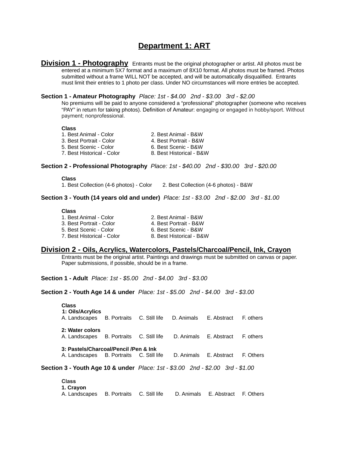## **Department 1: ART**

**Division 1 - Photography** Entrants must be the original photographer or artist. All photos must be entered at a minimum 5X7 format and a maximum of 8X10 format. All photos must be framed. Photos submitted without a frame WILL NOT be accepted, and will be automatically disqualified. Entrants must limit their entries to 1 photo per class. Under NO circumstances will more entries be accepted.

#### **Section 1 - Amateur Photography** *Place: 1st - \$4.00 2nd - \$3.00 3rd - \$2.00*

No premiums will be paid to anyone considered a "professional" photographer (someone who receives "PAY" in return for taking photos). Definition of Amateur: engaging or engaged in hobby/sport. Without payment; nonprofessional.

#### **Class**

| 1. Best Animal - Color     | 2. Best Animal - B&W     |
|----------------------------|--------------------------|
| 3. Best Portrait - Color   | 4. Best Portrait - B&W   |
| 5. Best Scenic - Color     | 6. Best Scenic - B&W     |
| 7. Best Historical - Color | 8. Best Historical - B&W |
|                            |                          |

#### **Section 2 - Professional Photography** *Place: 1st - \$40.00 2nd - \$30.00 3rd - \$20.00*

**Class**

1. Best Collection (4-6 photos) - Color 2. Best Collection (4-6 photos) - B&W

**Section 3 - Youth (14 years old and under)** *Place: 1st - \$3.00 2nd - \$2.00 3rd - \$1.00*

#### **Class**

| 2. Best Animal - B&W     |
|--------------------------|
| 4. Best Portrait - B&W   |
| 6. Best Scenic - B&W     |
| 8. Best Historical - B&W |
|                          |

#### **Division 2 - Oils, Acrylics, Watercolors, Pastels/Charcoal/Pencil, Ink, Crayon**

Entrants must be the original artist. Paintings and drawings must be submitted on canvas or paper. Paper submissions, if possible, should be in a frame.

**Section 1 - Adult** *Place: 1st - \$5.00 2nd - \$4.00 3rd - \$3.00*

**Section 2 - Youth Age 14 & under** *Place: 1st - \$5.00 2nd - \$4.00 3rd - \$3.00*

| <b>Class</b><br>1: Oils/Acrylics<br>A. Landscapes B. Portraits C. Still life D. Animals E. Abstract |  |                        | F. others |
|-----------------------------------------------------------------------------------------------------|--|------------------------|-----------|
| 2: Water colors<br>A. Landscapes B. Portraits C. Still life                                         |  | D. Animals E. Abstract | F. others |
| 3: Pastels/Charcoal/Pencil /Pen & Ink<br>A. Landscapes B. Portraits C. Still life                   |  | D. Animals E. Abstract | F. Others |
| Section 3 - Youth Age 10 & under Place: 1st - \$3.00 2nd - \$2.00 3rd - \$1.00                      |  |                        |           |

**Class 1. Crayon** A. Landscapes B. Portraits C. Still life D. Animals E. Abstract F. Others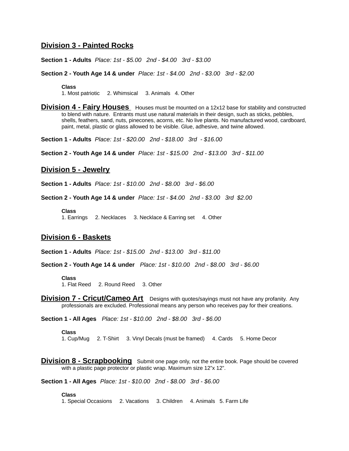#### **Division 3 - Painted Rocks**

**Section 1 - Adults** *Place: 1st - \$5.00 2nd - \$4.00 3rd - \$3.00*

**Section 2 - Youth Age 14 & under** *Place: 1st - \$4.00 2nd - \$3.00 3rd - \$2.00*

**Class** 1. Most patriotic 2. Whimsical 3. Animals 4. Other

**Division 4 - Fairy Houses** Houses must be mounted on a 12x12 base for stability and constructed to blend with nature. Entrants must use natural materials in their design, such as sticks, pebbles, shells, feathers, sand, nuts, pinecones, acorns, etc. No live plants. No manufactured wood, cardboard, paint, metal, plastic or glass allowed to be visible. Glue, adhesive, and twine allowed.

**Section 1 - Adults** *Place: 1st - \$20.00 2nd - \$18.00 3rd - \$16.00*

**Section 2 - Youth Age 14 & under** *Place: 1st - \$15.00 2nd - \$13.00 3rd - \$11.00*

#### **Division 5 - Jewelry**

**Section 1 - Adults** *Place: 1st - \$10.00 2nd - \$8.00 3rd - \$6.00*

**Section 2 - Youth Age 14 & under** *Place: 1st - \$4.00 2nd - \$3.00 3rd \$2.00*

**Class** 1. Earrings 2. Necklaces 3. Necklace & Earring set 4. Other

#### **Division 6 - Baskets**

**Section 1 - Adults** *Place: 1st - \$15.00 2nd - \$13.00 3rd - \$11.00*

**Section 2 - Youth Age 14 & under** *Place: 1st - \$10.00 2nd - \$8.00 3rd - \$6.00*

#### **Class**

1. Flat Reed 2. Round Reed 3. Other

**Division 7 - Cricut/Cameo Art** Designs with quotes/sayings must not have any profanity. Any professionals are excluded. Professional means any person who receives pay for their creations.

**Section 1 - All Ages** *Place: 1st - \$10.00 2nd - \$8.00 3rd - \$6.00*

**Class**

1. Cup/Mug 2. T-Shirt 3. Vinyl Decals (must be framed) 4. Cards 5. Home Decor

**Division 8 - Scrapbooking** Submit one page only, not the entire book. Page should be covered with a plastic page protector or plastic wrap. Maximum size 12"x 12".

**Section 1 - All Ages** *Place: 1st - \$10.00 2nd - \$8.00 3rd - \$6.00*

**Class** 1. Special Occasions 2. Vacations 3. Children 4. Animals 5. Farm Life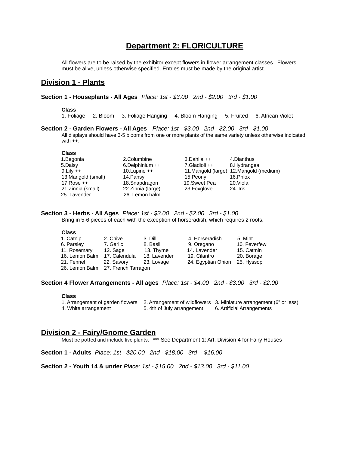## **Department 2: FLORICULTURE**

All flowers are to be raised by the exhibitor except flowers in flower arrangement classes. Flowers must be alive, unless otherwise specified. Entries must be made by the original artist.

#### **Division 1 - Plants**

**Section 1 - Houseplants - All Ages** *Place: 1st - \$3.00 2nd - \$2.00 3rd - \$1.00*

#### **Class**

1. Foliage 2. Bloom 3. Foliage Hanging 4. Bloom Hanging 5. Fruited 6. African Violet

**Section 2 - Garden Flowers - All Ages** *Place: 1st - \$3.00 2nd - \$2.00 3rd - \$1.00* All displays should have 3-5 blooms from one or more plants of the same variety unless otherwise indicated with  $++$ .

#### **Class**

| 1.Begonia ++         | 2.Columbine          | $3$ .Dahlia $++$ | 4.Dianthus                                 |
|----------------------|----------------------|------------------|--------------------------------------------|
| 5.Daisy              | $6.$ Delphinium $++$ | 7.Gladioli ++    | 8.Hydrangea                                |
| $9$ .Lilv $++$       | $10.Lupine++$        |                  | 11. Marigold (large) 12. Marigold (medium) |
| 13. Marigold (small) | 14. Pansy            | 15. Peony        | 16.Phlox                                   |
| $17$ .Rose $++$      | 18. Snapdragon       | 19. Sweet Pea    | 20. Viola                                  |
| 21. Zinnia (small)   | 22. Zinnia (large)   | 23. Foxglove     | 24. Iris                                   |
| 25. Lavender         | 26. Lemon balm       |                  |                                            |
|                      |                      |                  |                                            |

#### **Section 3 - Herbs - All Ages** *Place: 1st - \$3.00 2nd - \$2.00 3rd - \$1.00* Bring in 5-6 pieces of each with the exception of horseradish, which requires 2 roots.

#### **Class**

| 1. Catnip                          | 2. Chive   | 3. Dill      | 4. Horseradish                | 5. Mint      |
|------------------------------------|------------|--------------|-------------------------------|--------------|
| 6. Parsley                         | 7. Garlic  | 8. Basil     | 9. Oregano                    | 10. Feverfew |
| 11. Rosemary                       | 12. Sage   | 13. Thyme    | 14. Lavender                  | 15. Catmin   |
| 16. Lemon Balm 17. Calendula       |            | 18. Lavender | 19. Cilantro                  | 20. Borage   |
| 21. Fennel                         | 22. Savory | 23. Lovage   | 24. Egyptian Onion 25. Hyssop |              |
| 26. Lemon Balm 27. French Tarragon |            |              |                               |              |

| 4. Horseradish     | 5. Mint      |
|--------------------|--------------|
| 9. Oregano         | 10. Feverfew |
| 14. Lavender       | 15. Catmin   |
| 19. Cilantro       | 20. Borage   |
| 24. Egyptian Onion | 25. Hyssop   |

#### **Section 4 Flower Arrangements - All ages** *Place: 1st - \$4.00 2nd - \$3.00 3rd - \$2.00*

#### **Class**

|                      |                            | 1. Arrangement of garden flowers 2. Arrangement of wildflowers 3. Miniature arrangement (6" or less) |
|----------------------|----------------------------|------------------------------------------------------------------------------------------------------|
| 4. White arrangement | 5. 4th of July arrangement | 6. Artificial Arrangements                                                                           |

#### **Division 2 - Fairy/Gnome Garden**

Must be potted and include live plants. \*\*\* See Department 1: Art, Division 4 for Fairy Houses

**Section 1 - Adults** *Place: 1st - \$20.00 2nd - \$18.00 3rd - \$16.00*

**Section 2 - Youth 14 & under** *Place: 1st - \$15.00 2nd - \$13.00 3rd - \$11.00*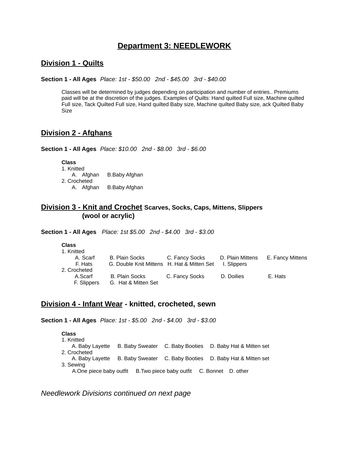## **Department 3: NEEDLEWORK**

## **Division 1 - Quilts**

**Section 1 - All Ages** *Place: 1st - \$50.00 2nd - \$45.00 3rd - \$40.00*

Classes will be determined by judges depending on participation and number of entries.. Premiums paid will be at the discretion of the judges. Examples of Quilts: Hand quilted Full size, Machine quilted Full size, Tack Quilted Full size, Hand quilted Baby size, Machine quilted Baby size, ack Quilted Baby Size

#### **Division 2 - Afghans**

**Section 1 - All Ages** *Place: \$10.00 2nd - \$8.00 3rd - \$6.00*

**Class** 1. Knitted A. Afghan B.Baby Afghan 2. Crocheted A. Afghan B.Baby Afghan

## **Division 3 - Knit and Crochet Scarves, Socks, Caps, Mittens, Slippers (wool or acrylic)**

**Section 1 - All Ages** *Place: 1st \$5.00 2nd - \$4.00 3rd - \$3.00*

| ×. | - - - | ۰. | ., |  |
|----|-------|----|----|--|
|    |       |    |    |  |

| 1. Knitted   |                                            |                |                  |                  |
|--------------|--------------------------------------------|----------------|------------------|------------------|
| A. Scarf     | <b>B. Plain Socks</b>                      | C. Fancy Socks | D. Plain Mittens | E. Fancy Mittens |
| F. Hats      | G. Double Knit Mittens H. Hat & Mitten Set |                | I. Slippers      |                  |
| 2. Crocheted |                                            |                |                  |                  |
| A.Scarf      | B. Plain Socks                             | C. Fancy Socks | D. Doilies       | E. Hats          |
| F. Slippers  | G. Hat & Mitten Set                        |                |                  |                  |

## **Division 4 - Infant Wear - knitted, crocheted, sewn**

**Section 1 - All Ages** *Place: 1st - \$5.00 2nd - \$4.00 3rd - \$3.00*

| <b>Class</b> |                                                                    |                                                                          |
|--------------|--------------------------------------------------------------------|--------------------------------------------------------------------------|
| 1. Knitted   |                                                                    |                                                                          |
|              |                                                                    | A. Baby Layette B. Baby Sweater C. Baby Booties D. Baby Hat & Mitten set |
| 2. Crocheted |                                                                    |                                                                          |
|              |                                                                    | A. Baby Layette B. Baby Sweater C. Baby Booties D. Baby Hat & Mitten set |
| 3. Sewing    |                                                                    |                                                                          |
|              | A.One piece baby outfit B.Two piece baby outfit C. Bonnet D. other |                                                                          |

*Needlework Divisions continued on next page*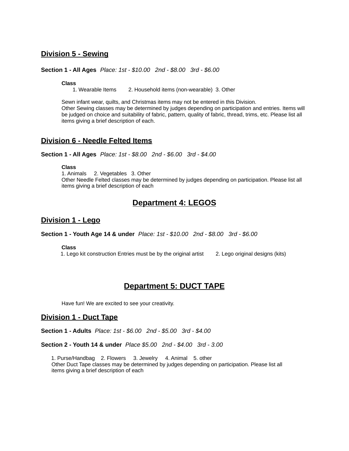#### **Division 5 - Sewing**

#### **Section 1 - All Ages** *Place: 1st - \$10.00 2nd - \$8.00 3rd - \$6.00*

**Class**<br>1. Wearable Items 2. Household items (non-wearable) 3. Other

Sewn infant wear, quilts, and Christmas items may not be entered in this Division. Other Sewing classes may be determined by judges depending on participation and entries. Items will be judged on choice and suitability of fabric, pattern, quality of fabric, thread, trims, etc. Please list all items giving a brief description of each.

#### **Division 6 - Needle Felted Items**

**Section 1 - All Ages** *Place: 1st - \$8.00 2nd - \$6.00 3rd - \$4.00*

**Class**

1. Animals 2. Vegetables 3. Other Other Needle Felted classes may be determined by judges depending on participation. Please list all items giving a brief description of each

# **Department 4: LEGOS**

#### **Division 1 - Lego**

**Section 1 - Youth Age 14 & under** *Place: 1st - \$10.00 2nd - \$8.00 3rd - \$6.00*

**Class**

1. Lego kit construction Entries must be by the original artist 2. Lego original designs (kits)

## **Department 5: DUCT TAPE**

Have fun! We are excited to see your creativity.

#### **Division 1 - Duct Tape**

**Section 1 - Adults** *Place: 1st - \$6.00 2nd - \$5.00 3rd - \$4.00*

**Section 2 - Youth 14 & under** *Place \$5.00 2nd - \$4.00 3rd - 3.00*

1. Purse/Handbag 2. Flowers 3. Jewelry 4. Animal 5. other Other Duct Tape classes may be determined by judges depending on participation. Please list all items giving a brief description of each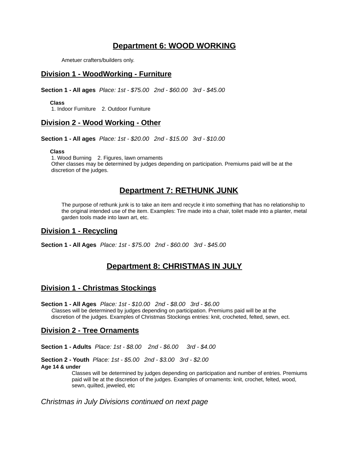## **Department 6: WOOD WORKING**

Ametuer crafters/builders only.

#### **Division 1 - WoodWorking - Furniture**

**Section 1 - All ages** *Place: 1st - \$75.00 2nd - \$60.00 3rd - \$45.00*

**Class**

1. Indoor Furniture 2. Outdoor Furniture

#### **Division 2 - Wood Working - Other**

**Section 1 - All ages** *Place: 1st - \$20.00 2nd - \$15.00 3rd - \$10.00*

#### **Class**

1. Wood Burning 2. Figures, lawn ornaments Other classes may be determined by judges depending on participation. Premiums paid will be at the discretion of the judges.

## **Department 7: RETHUNK JUNK**

The purpose of rethunk junk is to take an item and recycle it into something that has no relationship to the original intended use of the item. Examples: Tire made into a chair, toilet made into a planter, metal garden tools made into lawn art, etc.

#### **Division 1 - Recycling**

**Section 1 - All Ages** *Place: 1st - \$75.00 2nd - \$60.00 3rd - \$45.00*

# **Department 8: CHRISTMAS IN JULY**

#### **Division 1 - Christmas Stockings**

**Section 1 - All Ages** *Place: 1st - \$10.00 2nd - \$8.00 3rd - \$6.00* Classes will be determined by judges depending on participation. Premiums paid will be at the discretion of the judges. Examples of Christmas Stockings entries: knit, crocheted, felted, sewn, ect.

#### **Division 2 - Tree Ornaments**

**Section 1 - Adults** *Place: 1st - \$8.00 2nd - \$6.00 3rd - \$4.00*

**Section 2 - Youth** *Place: 1st - \$5.00 2nd - \$3.00 3rd - \$2.00* **Age 14 & under**

> Classes will be determined by judges depending on participation and number of entries. Premiums paid will be at the discretion of the judges. Examples of ornaments: knit, crochet, felted, wood, sewn, quilted, jeweled, etc

*Christmas in July Divisions continued on next page*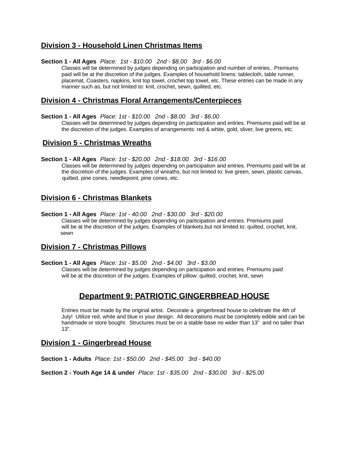## **Division 3 - Household Linen Christmas Items**

#### **Section 1 - All Ages** *Place: 1st - \$10.00 2nd - \$8.00 3rd - \$6.00*

Classes will be determined by judges depending on participation and number of entries.. Premiums paid will be at the discretion of the judges. Examples of household linens: tablecloth, table runner, placemat, Coasters, napkins, knit top towel, crochet top towel, etc. These entries can be made in any manner such as, but not limited to: knit, crochet, sewn, quilited, etc.

#### **Division 4 - Christmas Floral Arrangements/Centerpieces**

**Section 1 - All Ages** *Place: 1st - \$10.00 2nd - \$8.00 3rd - \$6.00*

Classes will be determined by judges depending on participation and entries. Premiums paid will be at the discretion of the judges. Examples of arrangements: red & white, gold, sliver, live greens, etc.

#### **Division 5 - Christmas Wreaths**

**Section 1 - All Ages** *Place: 1st - \$20.00 2nd - \$18.00 3rd - \$16.00*

Classes will be determined by judges depending on participation and entries. Premiums paid will be at the discretion of the judges. Examples of wreaths, but not limited to: live green, sewn, plastic canvas, quilted, pine cones, needlepoint, pine cones, etc.

## **Division 6 - Christmas Blankets**

**Section 1 - All Ages** *Place: 1st - 40.00 2nd - \$30.00 3rd - \$20.00* Classes will be determined by judges depending on participation and entries. Premiums paid will be at the discretion of the judges. Examples of blankets,but not limited to: quilted, crochet, knit, sewn

#### **Division 7 - Christmas Pillows**

**Section 1 - All Ages** *Place: 1st - \$5.00 2nd - \$4.00 3rd - \$3.00* Classes will be determined by judges depending on participation and entries. Premiums paid will be at the discretion of the judges. Examples of pillow: quilted, crochet, knit, sewn

## **Department 9: PATRIOTIC GINGERBREAD HOUSE**

Entries must be made by the original artist. Decorate a gingerbread house to celebrate the 4th of July! Utilize red, white and blue in your design. All decorations must be completely edible and can be handmade or store bought. Structures must be on a stable base no wider than 13" and no taller than 13".

#### **Division 1 - Gingerbread House**

**Section 1 - Adults** *Place: 1st - \$50.00 2nd - \$45.00 3rd - \$40.00*

**Section 2 - Youth Age 14 & under** *Place: 1st - \$35.00 2nd - \$30.00 3rd - \$25.00*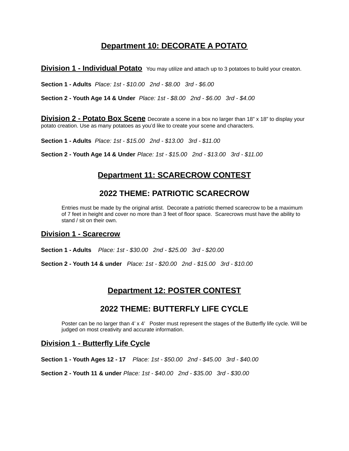# **Department 10: DECORATE A POTATO**

**Division 1 - Individual Potato** You may utilize and attach up to 3 potatoes to build your creaton.

**Section 1 - Adults** *Place: 1st - \$10.00 2nd - \$8.00 3rd - \$6.00*

**Section 2 - Youth Age 14 & Under** *Place: 1st - \$8.00 2nd - \$6.00 3rd - \$4.00*

**Division 2 - Potato Box Scene** Decorate a scene in a box no larger than 18" x 18" to display your potato creation. Use as many potatoes as you'd like to create your scene and characters.

**Section 1 - Adults** *Place: 1st - \$15.00 2nd - \$13.00 3rd - \$11.00*

**Section 2 - Youth Age 14 & Under** *Place: 1st - \$15.00 2nd - \$13.00 3rd - \$11.00*

# **Department 11: SCARECROW CONTEST**

# **2022 THEME: PATRIOTIC SCARECROW**

Entries must be made by the original artist. Decorate a patriotic themed scarecrow to be a maximum of 7 feet in height and cover no more than 3 feet of floor space. Scarecrows must have the ability to stand / sit on their own.

#### **Division 1 - Scarecrow**

**Section 1 - Adults** *Place: 1st - \$30.00 2nd - \$25.00 3rd - \$20.00*

**Section 2 - Youth 14 & under** *Place: 1st - \$20.00 2nd - \$15.00 3rd - \$10.00*

# **Department 12: POSTER CONTEST**

# **2022 THEME: BUTTERFLY LIFE CYCLE**

Poster can be no larger than 4' x 4' Poster must represent the stages of the Butterfly life cycle. Will be judged on most creativity and accurate information.

#### **Division 1 - Butterfly Life Cycle**

**Section 1 - Youth Ages 12 - 17** *Place: 1st - \$50.00 2nd - \$45.00 3rd - \$40.00*

**Section 2 - Youth 11 & under** *Place: 1st - \$40.00 2nd - \$35.00 3rd - \$30.00*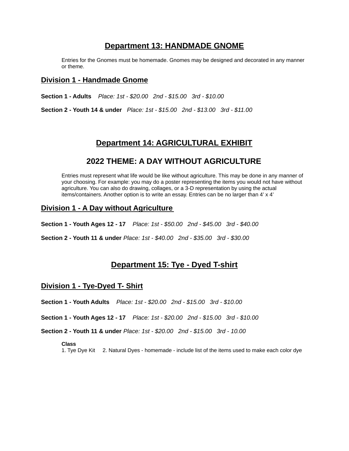## **Department 13: HANDMADE GNOME**

Entries for the Gnomes must be homemade. Gnomes may be designed and decorated in any manner or theme.

#### **Division 1 - Handmade Gnome**

**Section 1 - Adults** *Place: 1st - \$20.00 2nd - \$15.00 3rd - \$10.00*

**Section 2 - Youth 14 & under** *Place: 1st - \$15.00 2nd - \$13.00 3rd - \$11.00*

## **Department 14: AGRICULTURAL EXHIBIT**

## **2022 THEME: A DAY WITHOUT AGRICULTURE**

Entries must represent what life would be like without agriculture. This may be done in any manner of your choosing. For example: you may do a poster representing the items you would not have without agriculture. You can also do drawing, collages, or a 3-D representation by using the actual items/containers. Another option is to write an essay. Entries can be no larger than 4' x 4'

#### **Division 1 - A Day without Agriculture**

**Section 1 - Youth Ages 12 - 17** *Place: 1st - \$50.00 2nd - \$45.00 3rd - \$40.00*

**Section 2 - Youth 11 & under** *Place: 1st - \$40.00 2nd - \$35.00 3rd - \$30.00*

# **Department 15: Tye - Dyed T-shirt**

#### **Division 1 - Tye-Dyed T- Shirt**

**Section 1 - Youth Adults** *Place: 1st - \$20.00 2nd - \$15.00 3rd - \$10.00*

**Section 1 - Youth Ages 12 - 17** *Place: 1st - \$20.00 2nd - \$15.00 3rd - \$10.00*

**Section 2 - Youth 11 & under** *Place: 1st - \$20.00 2nd - \$15.00 3rd - 10.00*

#### **Class**

1. Tye Dye Kit 2. Natural Dyes - homemade - include list of the items used to make each color dye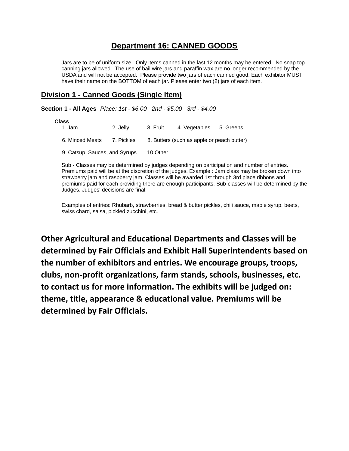# **Department 16: CANNED GOODS**

Jars are to be of uniform size. Only items canned in the last 12 months may be entered. No snap top canning jars allowed. The use of bail wire jars and paraffin wax are no longer recommended by the USDA and will not be accepted. Please provide two jars of each canned good. Each exhibitor MUST have their name on the BOTTOM of each jar. Please enter two (2) jars of each item.

## **Division 1 - Canned Goods (Single Item)**

**Section 1 - All Ages** *Place: 1st - \$6.00 2nd - \$5.00 3rd - \$4.00*

| <b>Class</b>                  |            |          |                                            |           |
|-------------------------------|------------|----------|--------------------------------------------|-----------|
| 1. Jam                        | 2. Jelly   | 3. Fruit | 4. Vegetables                              | 5. Greens |
| 6. Minced Meats               | 7. Pickles |          | 8. Butters (such as apple or peach butter) |           |
| 9. Catsup, Sauces, and Syrups |            | 10.Other |                                            |           |

Sub - Classes may be determined by judges depending on participation and number of entries. Premiums paid will be at the discretion of the judges. Example : Jam class may be broken down into strawberry jam and raspberry jam. Classes will be awarded 1st through 3rd place ribbons and premiums paid for each providing there are enough participants. Sub-classes will be determined by the Judges. Judges' decisions are final.

Examples of entries: Rhubarb, strawberries, bread & butter pickles, chili sauce, maple syrup, beets, swiss chard, salsa, pickled zucchini, etc.

**Other Agricultural and Educational Departments and Classes will be determined by Fair Officials and Exhibit Hall Superintendents based on the number of exhibitors and entries. We encourage groups, troops, clubs, non-profit organizations, farm stands, schools, businesses, etc. to contact us for more information. The exhibits will be judged on: theme, title, appearance & educational value. Premiums will be determined by Fair Officials.**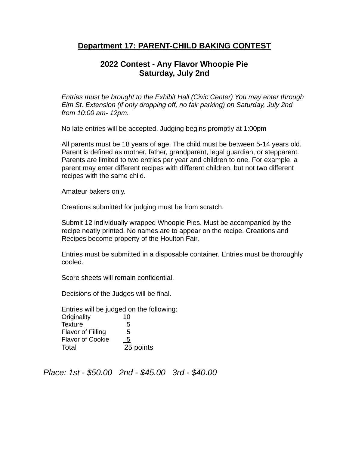# **Department 17: PARENT-CHILD BAKING CONTEST**

# **2022 Contest - Any Flavor Whoopie Pie Saturday, July 2nd**

*Entries must be brought to the Exhibit Hall (Civic Center) You may enter through Elm St. Extension (if only dropping off, no fair parking) on Saturday, July 2nd from 10:00 am- 12pm.*

No late entries will be accepted. Judging begins promptly at 1:00pm

All parents must be 18 years of age. The child must be between 5-14 years old. Parent is defined as mother, father, grandparent, legal guardian, or stepparent. Parents are limited to two entries per year and children to one. For example, a parent may enter different recipes with different children, but not two different recipes with the same child.

Amateur bakers only.

Creations submitted for judging must be from scratch.

Submit 12 individually wrapped Whoopie Pies. Must be accompanied by the recipe neatly printed. No names are to appear on the recipe. Creations and Recipes become property of the Houlton Fair.

Entries must be submitted in a disposable container. Entries must be thoroughly cooled.

Score sheets will remain confidential.

Decisions of the Judges will be final.

Entries will be judged on the following: Originality 10 Texture 5 Flavor of Filling 5 Flavor of Cookie 5 Total 25 points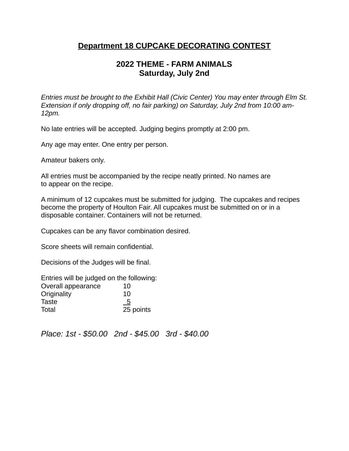# **Department 18 CUPCAKE DECORATING CONTEST**

# **2022 THEME - FARM ANIMALS Saturday, July 2nd**

*Entries must be brought to the Exhibit Hall (Civic Center) You may enter through Elm St. Extension if only dropping off, no fair parking) on Saturday, July 2nd from 10:00 am-12pm.*

No late entries will be accepted. Judging begins promptly at 2:00 pm.

Any age may enter. One entry per person.

Amateur bakers only.

All entries must be accompanied by the recipe neatly printed. No names are to appear on the recipe.

A minimum of 12 cupcakes must be submitted for judging. The cupcakes and recipes become the property of Houlton Fair. All cupcakes must be submitted on or in a disposable container. Containers will not be returned.

Cupcakes can be any flavor combination desired.

Score sheets will remain confidential.

Decisions of the Judges will be final.

| Entries will be judged on the following: |                |
|------------------------------------------|----------------|
| Overall appearance                       | 10             |
| Originality                              | 10             |
| Taste                                    | $\overline{5}$ |
| Total                                    | 25 points      |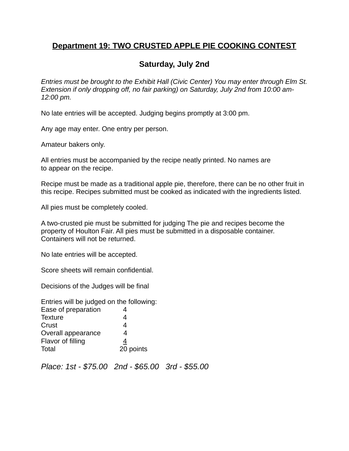# **Department 19: TWO CRUSTED APPLE PIE COOKING CONTEST**

# **Saturday, July 2nd**

*Entries must be brought to the Exhibit Hall (Civic Center) You may enter through Elm St. Extension if only dropping off, no fair parking) on Saturday, July 2nd from 10:00 am-12:00 pm.*

No late entries will be accepted. Judging begins promptly at 3:00 pm.

Any age may enter. One entry per person.

Amateur bakers only.

All entries must be accompanied by the recipe neatly printed. No names are to appear on the recipe.

Recipe must be made as a traditional apple pie, therefore, there can be no other fruit in this recipe. Recipes submitted must be cooked as indicated with the ingredients listed.

All pies must be completely cooled.

A two-crusted pie must be submitted for judging The pie and recipes become the property of Houlton Fair. All pies must be submitted in a disposable container. Containers will not be returned.

No late entries will be accepted.

Score sheets will remain confidential.

Decisions of the Judges will be final

Entries will be judged on the following: Ease of preparation 4 Texture 4 Crust 4 Overall appearance 4 Flavor of filling  $\frac{4}{5}$ Total 20 points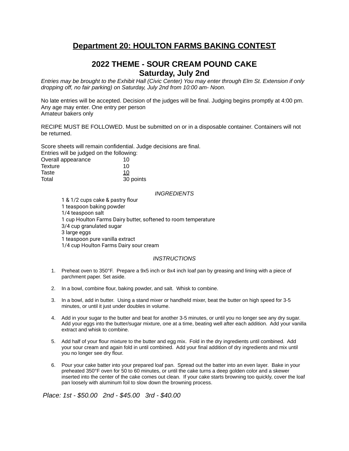# **Department 20: HOULTON FARMS BAKING CONTEST**

## **2022 THEME - SOUR CREAM POUND CAKE Saturday, July 2nd**

Entries may be brought to the Exhibit Hall (Civic Center) You may enter through Elm St. Extension if only *dropping off, no fair parking) on Saturday, July 2nd from 10:00 am- Noon.*

No late entries will be accepted. Decision of the judges will be final. Judging begins promptly at 4:00 pm. Any age may enter. One entry per person Amateur bakers only

RECIPE MUST BE FOLLOWED. Must be submitted on or in a disposable container. Containers will not be returned.

Score sheets will remain confidential. Judge decisions are final. Entries will be judged on the follo

| Entries will be judged on the following: |           |
|------------------------------------------|-----------|
| Overall appearance                       | 10        |
| Texture                                  | 10        |
| Taste                                    | 10        |
| Total                                    | 30 points |

#### *INGREDIENTS*

 & 1/2 cups cake & pastry flour teaspoon baking powder 1/4 teaspoon salt cup Houlton Farms Dairy butter, softened to room temperature 3/4 cup granulated sugar large eggs teaspoon pure vanilla extract 1/4 cup Houlton Farms Dairy sour cream

#### *INSTRUCTIONS*

- 1. Preheat oven to 350°F. Prepare a 9x5 inch or 8x4 inch loaf pan by greasing and lining with a piece of parchment paper. Set aside.
- 2. In a bowl, combine flour, baking powder, and salt. Whisk to combine.
- 3. In a bowl, add in butter. Using a stand mixer or handheld mixer, beat the butter on high speed for 3-5 minutes, or until it just under doubles in volume.
- 4. Add in your sugar to the butter and beat for another 3-5 minutes, or until you no longer see any dry sugar. Add your eggs into the butter/sugar mixture, one at a time, beating well after each addition. Add your vanilla extract and whisk to combine.
- 5. Add half of your flour mixture to the butter and egg mix. Fold in the dry ingredients until combined. Add your sour cream and again fold in until combined. Add your final addition of dry ingredients and mix until you no longer see dry flour.
- 6. Pour your cake batter into your prepared loaf pan. Spread out the batter into an even layer. Bake in your preheated 350°F oven for 50 to 60 minutes, or until the cake turns a deep golden color and a skewer inserted into the center of the cake comes out clean. If your cake starts browning too quickly, cover the loaf pan loosely with aluminum foil to slow down the browning process.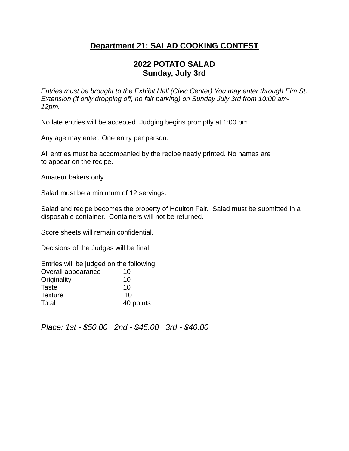# **Department 21: SALAD COOKING CONTEST**

# **2022 POTATO SALAD Sunday, July 3rd**

*Entries must be brought to the Exhibit Hall (Civic Center) You may enter through Elm St. Extension (if only dropping off, no fair parking) on Sunday July 3rd from 10:00 am-12pm.*

No late entries will be accepted. Judging begins promptly at 1:00 pm.

Any age may enter. One entry per person.

All entries must be accompanied by the recipe neatly printed. No names are to appear on the recipe.

Amateur bakers only.

Salad must be a minimum of 12 servings.

Salad and recipe becomes the property of Houlton Fair. Salad must be submitted in a disposable container. Containers will not be returned.

Score sheets will remain confidential.

Decisions of the Judges will be final

Entries will be judged on the following: Overall appearance 10 Originality 10 Taste 10 Texture 10 Total 40 points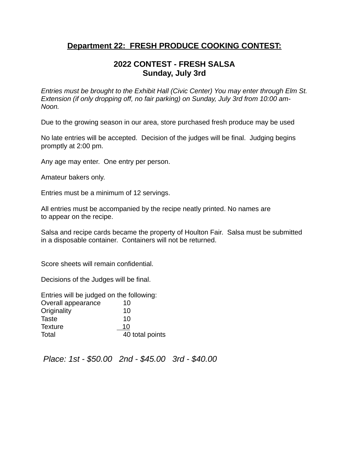# **Department 22: FRESH PRODUCE COOKING CONTEST:**

# **2022 CONTEST - FRESH SALSA Sunday, July 3rd**

*Entries must be brought to the Exhibit Hall (Civic Center) You may enter through Elm St. Extension (if only dropping off, no fair parking) on Sunday, July 3rd from 10:00 am-Noon.*

Due to the growing season in our area, store purchased fresh produce may be used

No late entries will be accepted. Decision of the judges will be final. Judging begins promptly at 2:00 pm.

Any age may enter. One entry per person.

Amateur bakers only.

Entries must be a minimum of 12 servings.

All entries must be accompanied by the recipe neatly printed. No names are to appear on the recipe.

Salsa and recipe cards became the property of Houlton Fair. Salsa must be submitted in a disposable container. Containers will not be returned.

Score sheets will remain confidential.

Decisions of the Judges will be final.

Entries will be judged on the following: Overall appearance 10 Originality 10 Taste 10 Texture 10 Total **40** total points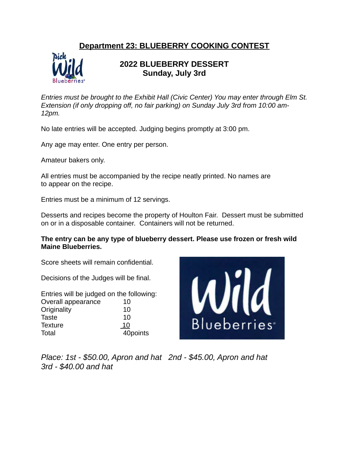# **Department 23: BLUEBERRY COOKING CONTEST**



# **2022 BLUEBERRY DESSERT Sunday, July 3rd**

*Entries must be brought to the Exhibit Hall (Civic Center) You may enter through Elm St. Extension (if only dropping off, no fair parking) on Sunday July 3rd from 10:00 am-12pm.*

No late entries will be accepted. Judging begins promptly at 3:00 pm.

Any age may enter. One entry per person.

Amateur bakers only.

All entries must be accompanied by the recipe neatly printed. No names are to appear on the recipe.

Entries must be a minimum of 12 servings.

Desserts and recipes become the property of Houlton Fair. Dessert must be submitted on or in a disposable container. Containers will not be returned.

#### **The entry can be any type of blueberry dessert. Please use frozen or fresh wild Maine Blueberries.**

Score sheets will remain confidential.

Decisions of the Judges will be final.

Entries will be judged on the following: Overall appearance 10 Originality 10 Taste 10 Texture 10 Total 40points



*Place: 1st - \$50.00, Apron and hat 2nd - \$45.00, Apron and hat 3rd - \$40.00 and hat*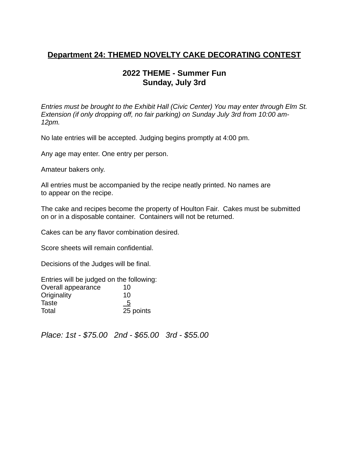# **Department 24: THEMED NOVELTY CAKE DECORATING CONTEST**

# **2022 THEME - Summer Fun Sunday, July 3rd**

*Entries must be brought to the Exhibit Hall (Civic Center) You may enter through Elm St. Extension (if only dropping off, no fair parking) on Sunday July 3rd from 10:00 am-12pm.*

No late entries will be accepted. Judging begins promptly at 4:00 pm.

Any age may enter. One entry per person.

Amateur bakers only.

All entries must be accompanied by the recipe neatly printed. No names are to appear on the recipe.

The cake and recipes become the property of Houlton Fair. Cakes must be submitted on or in a disposable container. Containers will not be returned.

Cakes can be any flavor combination desired.

Score sheets will remain confidential.

Decisions of the Judges will be final.

| Entries will be judged on the following: |           |
|------------------------------------------|-----------|
| Overall appearance                       | 10        |
| Originality                              | 10        |
| Taste                                    | <u>_5</u> |
| Total                                    | 25 points |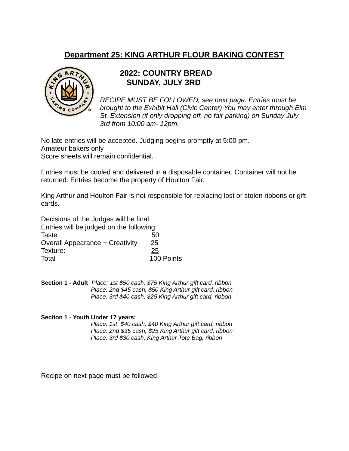# **Department 25: KING ARTHUR FLOUR BAKING CONTEST**



# **2022: COUNTRY BREAD SUNDAY, JULY 3RD**

*RECIPE MUST BE FOLLOWED, see next page. Entries must be brought to the Exhibit Hall (Civic Center) You may enter through Elm St. Extension (if only dropping off, no fair parking) on Sunday July 3rd from 10:00 am- 12pm.*

No late entries will be accepted. Judging begins promptly at 5:00 pm. Amateur bakers only Score sheets will remain confidential.

Entries must be cooled and delivered in a disposable container. Container will not be returned. Entries become the property of Houlton Fair.

King Arthur and Houlton Fair is not responsible for replacing lost or stolen ribbons or gift cards.

Decisions of the Judges will be final.

Entries will be judged on the following: Taste 50 Overall Appearance + Creativity 25 Texture: 25 Total 100 Points

**Section 1 - Adult** *Place: 1st \$50 cash, \$75 King Arthur gift card, ribbon Place: 2nd \$45 cash, \$50 King Arthur gift card, ribbon Place: 3rd \$40 cash, \$25 King Arthur gift card, ribbon*

#### **Section 1 - Youth Under 17 years:**

*Place: 1st \$40 cash, \$40 King Arthur gift card, ribbon Place: 2nd \$35 cash, \$25 King Arthur gift card, ribbon Place: 3rd \$30 cash, King Arthur Tote Bag, ribbon*

Recipe on next page must be followed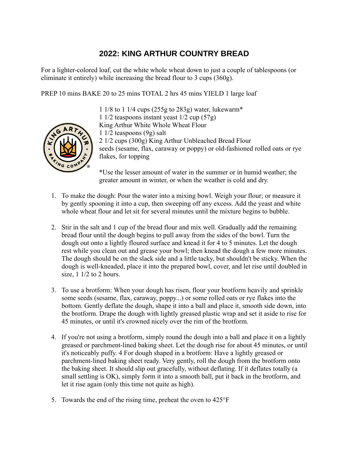# **2022: KING ARTHUR COUNTRY BREAD**

For a lighter-colored loaf, cut the white whole wheat down to just a couple of tablespoons (or eliminate it entirely) while increasing the bread flour to 3 cups (360g).

PREP 10 mins BAKE 20 to 25 mins TOTAL 2 hrs 45 mins YIELD 1 large loaf



1 1/8 to 1 1/4 cups (255g to 283g) water, lukewarm\* 1 1/2 teaspoons instant yeast 1/2 cup (57g) King Arthur White Whole Wheat Flour 1 1/2 teaspoons (9g) salt 2 1/2 cups (300g) King Arthur Unbleached Bread Flour seeds (sesame, flax, caraway or poppy) or old-fashioned rolled oats or rye flakes, for topping

\*Use the lesser amount of water in the summer or in humid weather; the greater amount in winter, or when the weather is cold and dry.

- 1. To make the dough: Pour the water into a mixing bowl. Weigh your flour; or measure it by gently spooning it into a cup, then sweeping off any excess. Add the yeast and white whole wheat flour and let sit for several minutes until the mixture begins to bubble.
- 2. Stir in the salt and 1 cup of the bread flour and mix well. Gradually add the remaining bread flour until the dough begins to pull away from the sides of the bowl. Turn the dough out onto a lightly floured surface and knead it for 4 to 5 minutes. Let the dough rest while you clean out and grease your bowl; then knead the dough a few more minutes. The dough should be on the slack side and a little tacky, but shouldn't be sticky. When the dough is well-kneaded, place it into the prepared bowl, cover, and let rise until doubled in size,  $1 \frac{1}{2}$  to 2 hours.
- 3. To use a brotform: When your dough has risen, flour your brotform heavily and sprinkle some seeds (sesame, flax, caraway, poppy...) or some rolled oats or rye flakes into the bottom. Gently deflate the dough, shape it into a ball and place it, smooth side down, into the brotform. Drape the dough with lightly greased plastic wrap and set it aside to rise for 45 minutes, or until it's crowned nicely over the rim of the brotform.
- 4. If you're not using a brotform, simply round the dough into a ball and place it on a lightly greased or parchment-lined baking sheet. Let the dough rise for about 45 minutes, or until it's noticeably puffy. 4 For dough shaped in a brotform: Have a lightly greased or parchment-lined baking sheet ready. Very gently, roll the dough from the brotform onto the baking sheet. It should slip out gracefully, without deflating. If it deflates totally (a small settling is OK), simply form it into a smooth ball, put it back in the brotform, and let it rise again (only this time not quite as high).
- 5. Towards the end of the rising time, preheat the oven to 425°F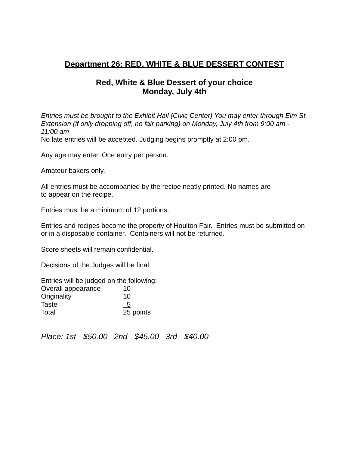# **Department 26: RED, WHITE & BLUE DESSERT CONTEST**

# **Red, White & Blue Dessert of your choice Monday, July 4th**

*Entries must be brought to the Exhibit Hall (Civic Center) You may enter through Elm St. Extension (if only dropping off, no fair parking) on Monday, July 4th from 9:00 am - 11:00 am* No late entries will be accepted. Judging begins promptly at 2:00 pm.

Any age may enter. One entry per person.

Amateur bakers only.

All entries must be accompanied by the recipe neatly printed. No names are to appear on the recipe.

Entries must be a minimum of 12 portions.

Entries and recipes become the property of Houlton Fair. Entries must be submitted on or in a disposable container. Containers will not be returned.

Score sheets will remain confidential.

Decisions of the Judges will be final.

| Entries will be judged on the following: |           |
|------------------------------------------|-----------|
| Overall appearance                       | 10        |
| Originality                              | 10        |
| Taste                                    | - 5       |
| Total                                    | 25 points |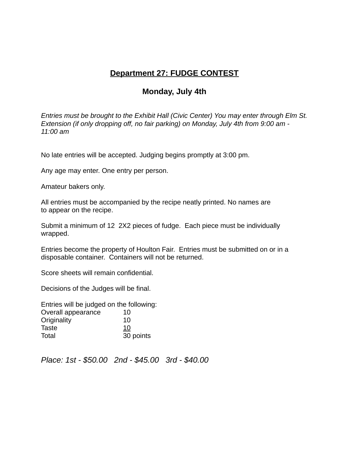# **Department 27: FUDGE CONTEST**

# **Monday, July 4th**

*Entries must be brought to the Exhibit Hall (Civic Center) You may enter through Elm St. Extension (if only dropping off, no fair parking) on Monday, July 4th from 9:00 am - 11:00 am*

No late entries will be accepted. Judging begins promptly at 3:00 pm.

Any age may enter. One entry per person.

Amateur bakers only.

All entries must be accompanied by the recipe neatly printed. No names are to appear on the recipe.

Submit a minimum of 12 2X2 pieces of fudge. Each piece must be individually wrapped.

Entries become the property of Houlton Fair. Entries must be submitted on or in a disposable container. Containers will not be returned.

Score sheets will remain confidential.

Decisions of the Judges will be final.

Entries will be judged on the following: Overall appearance 10 Originality 10 Taste 10 Total 30 points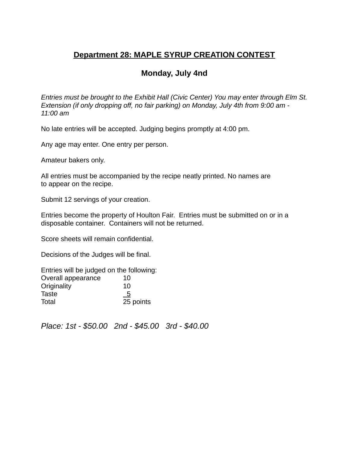# **Department 28: MAPLE SYRUP CREATION CONTEST**

# **Monday, July 4nd**

*Entries must be brought to the Exhibit Hall (Civic Center) You may enter through Elm St. Extension (if only dropping off, no fair parking) on Monday, July 4th from 9:00 am - 11:00 am*

No late entries will be accepted. Judging begins promptly at 4:00 pm.

Any age may enter. One entry per person.

Amateur bakers only.

All entries must be accompanied by the recipe neatly printed. No names are to appear on the recipe.

Submit 12 servings of your creation.

Entries become the property of Houlton Fair. Entries must be submitted on or in a disposable container. Containers will not be returned.

Score sheets will remain confidential.

Decisions of the Judges will be final.

Entries will be judged on the following: Overall appearance 10 Originality 10 Taste 5 Total 25 points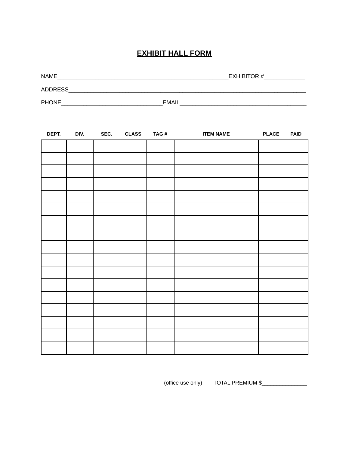## **EXHIBIT HALL FORM**

| NAME           | EXHIBITOR #  |
|----------------|--------------|
| <b>ADDRESS</b> |              |
| <b>PHONE</b>   | <b>EMAIL</b> |

| DEPT. | DIV. | SEC. CLASS | TAG# | <b>ITEM NAME</b> | <b>PLACE</b> | <b>PAID</b> |
|-------|------|------------|------|------------------|--------------|-------------|
|       |      |            |      |                  |              |             |
|       |      |            |      |                  |              |             |
|       |      |            |      |                  |              |             |
|       |      |            |      |                  |              |             |
|       |      |            |      |                  |              |             |
|       |      |            |      |                  |              |             |
|       |      |            |      |                  |              |             |
|       |      |            |      |                  |              |             |
|       |      |            |      |                  |              |             |
|       |      |            |      |                  |              |             |
|       |      |            |      |                  |              |             |
|       |      |            |      |                  |              |             |
|       |      |            |      |                  |              |             |
|       |      |            |      |                  |              |             |
|       |      |            |      |                  |              |             |
|       |      |            |      |                  |              |             |
|       |      |            |      |                  |              |             |

(office use only) - - - TOTAL PREMIUM \$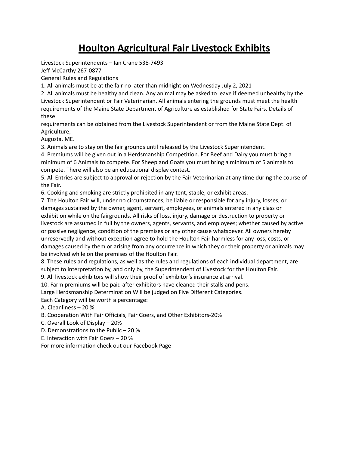# **Houlton Agricultural Fair Livestock Exhibits**

Livestock Superintendents – Ian Crane 538-7493

Jeff McCarthy 267-0877

General Rules and Regulations

1. All animals must be at the fair no later than midnight on Wednesday July 2, 2021

2. All animals must be healthy and clean. Any animal may be asked to leave if deemed unhealthy by the Livestock Superintendent or Fair Veterinarian. All animals entering the grounds must meet the health requirements of the Maine State Department of Agriculture as established for State Fairs. Details of these

requirements can be obtained from the Livestock Superintendent or from the Maine State Dept. of Agriculture,

Augusta, ME.

3. Animals are to stay on the fair grounds until released by the Livestock Superintendent.

4. Premiums will be given out in a Herdsmanship Competition. For Beef and Dairy you must bring a minimum of 6 Animals to compete. For Sheep and Goats you must bring a minimum of 5 animals to compete. There will also be an educational display contest.

5. All Entries are subject to approval or rejection by the Fair Veterinarian at any time during the course of the Fair.

6. Cooking and smoking are strictly prohibited in any tent, stable, or exhibit areas.

7. The Houlton Fair will, under no circumstances, be liable or responsible for any injury, losses, or damages sustained by the owner, agent, servant, employees, or animals entered in any class or exhibition while on the fairgrounds. All risks of loss, injury, damage or destruction to property or livestock are assumed in full by the owners, agents, servants, and employees; whether caused by active or passive negligence, condition of the premises or any other cause whatsoever. All owners hereby unreservedly and without exception agree to hold the Houlton Fair harmless for any loss, costs, or damages caused by them or arising from any occurrence in which they or their property or animals may be involved while on the premises of the Houlton Fair.

8. These rules and regulations, as well as the rules and regulations of each individual department, are subject to interpretation by, and only by, the Superintendent of Livestock for the Houlton Fair.

9. All livestock exhibitors will show their proof of exhibitor's insurance at arrival.

10. Farm premiums will be paid after exhibitors have cleaned their stalls and pens.

Large Herdsmanship Determination Will be judged on Five Different Categories.

Each Category will be worth a percentage:

A. Cleanliness – 20 %

B. Cooperation With Fair Officials, Fair Goers, and Other Exhibitors-20%

C. Overall Look of Display – 20%

D. Demonstrations to the Public – 20 %

E. Interaction with Fair Goers – 20 %

For more information check out our Facebook Page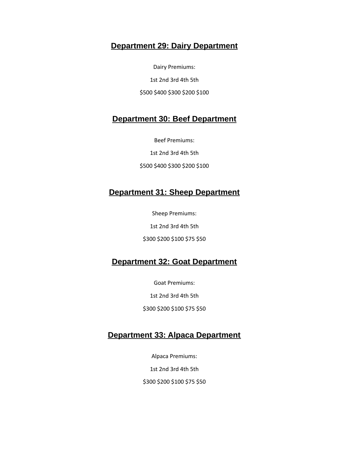## **Department 29: Dairy Department**

Dairy Premiums: 1st 2nd 3rd 4th 5th \$500 \$400 \$300 \$200 \$100

# **Department 30: Beef Department**

Beef Premiums:

1st 2nd 3rd 4th 5th

\$500 \$400 \$300 \$200 \$100

# **Department 31: Sheep Department**

Sheep Premiums:

1st 2nd 3rd 4th 5th

\$300 \$200 \$100 \$75 \$50

# **Department 32: Goat Department**

Goat Premiums: 1st 2nd 3rd 4th 5th \$300 \$200 \$100 \$75 \$50

# **Department 33: Alpaca Department**

Alpaca Premiums: 1st 2nd 3rd 4th 5th \$300 \$200 \$100 \$75 \$50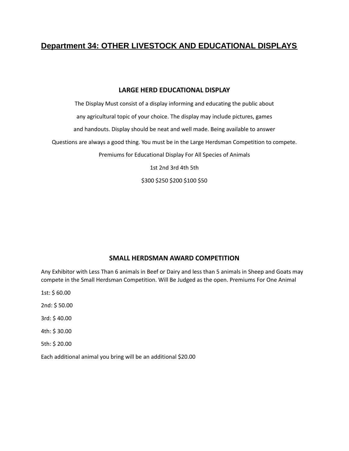# **Department 34: OTHER LIVESTOCK AND EDUCATIONAL DISPLAYS**

#### **LARGE HERD EDUCATIONAL DISPLAY**

The Display Must consist of a display informing and educating the public about any agricultural topic of your choice. The display may include pictures, games and handouts. Display should be neat and well made. Being available to answer Questions are always a good thing. You must be in the Large Herdsman Competition to compete. Premiums for Educational Display For All Species of Animals 1st 2nd 3rd 4th 5th

\$300 \$250 \$200 \$100 \$50

#### **SMALL HERDSMAN AWARD COMPETITION**

Any Exhibitor with Less Than 6 animals in Beef or Dairy and less than 5 animals in Sheep and Goats may compete in the Small Herdsman Competition. Will Be Judged as the open. Premiums For One Animal

1st: \$ 60.00 2nd: \$ 50.00 3rd: \$ 40.00 4th: \$ 30.00 5th: \$ 20.00

Each additional animal you bring will be an additional \$20.00